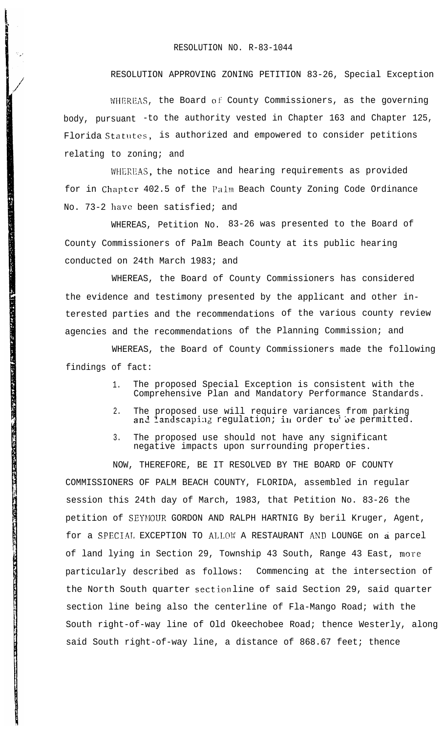## RESOLUTION NO. R-83-1044

## RESOLUTION APPROVING ZONING PETITION 83-26, Special Exception

WHEREAS, the Board of County Commissioners, as the governing body, pursuant -to the authority vested in Chapter 163 and Chapter 125, Florida Statutes, is authorized and empowered to consider petitions relating to zoning; and

WHEREAS, the notice and hearing requirements as provided for in Chapter 402.5 of the Palm Beach County Zoning Code Ordinance No. 73-2 have been satisfied; and

WHEREAS, Petition No. 83-26 was presented to the Board of County Commissioners of Palm Beach County at its public hearing conducted on 24th March 1983; and

The Property of the Property of the Property of

WHEREAS, the Board of County Commissioners has considered the evidence and testimony presented by the applicant and other interested parties and the recommendations of the various county review agencies and the recommendations of the Planning Commission; and

WHEREAS, the Board of County Commissioners made the following findings of fact:

- 1. The proposed Special Exception is consistent with the Comprehensive Plan and Mandatory Performance Standards.
- 2. The proposed use will require variances from parking an $\,$  landsca $\,$ ing regulation; i $\,$  order to $\,$  be permitted.
- 3. The proposed use should not have any significant negative impacts upon surrounding properties.

NOW, THEREFORE, BE IT RESOLVED BY THE BOARD OF COUNTY COMMISSIONERS OF PALM BEACH COUNTY, FLORIDA, assembled in regular session this 24th day of March, 1983, that Petition No. 83-26 the petition of SEYMOUR GORDON AND RALPH HARTNIG By beril Kruger, Agent, for a SPECIAL EXCEPTION TO ALLOW A RESTAURANT AND LOUNGE on a parcel of land lying in Section 29, Township 43 South, Range 43 East, more particularly described as follows: Commencing at the intersection of the North South quarter section line of said Section 29, said quarter section line being also the centerline of Fla-Mango Road; with the South right-of-way line of Old Okeechobee Road; thence Westerly, along said South right-of-way line, a distance of 868.67 feet; thence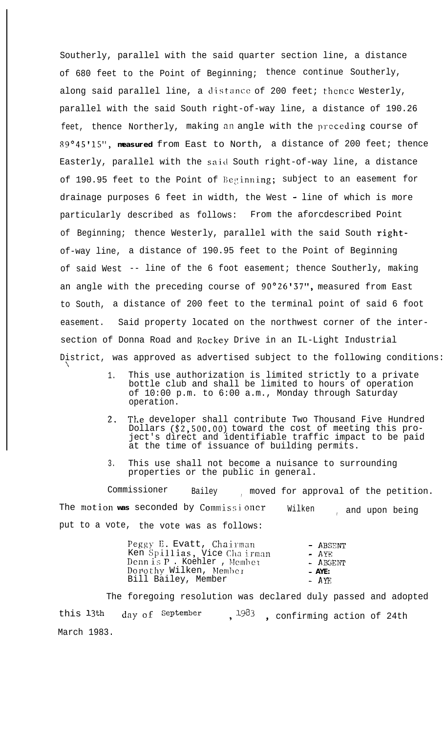Southerly, parallel with the said quarter section line, a distance of 680 feet to the Point of Beginning; thence continue Southerly, along said parallel line, a distance of 200 feet; thence Westerly, parallel with the said South right-of-way line, a distance of 190.26 feet, thence Northerly, making an angle with the preceding course of 89°45'15", **measured** from East to North, a distance of 200 feet; thence Easterly, parallel with the said South right-of-way line, a distance of 190.95 feet to the Point of Beginning; subject to an easement for drainage purposes 6 feet in width, the West - line of which is more particularly described as follows: From the aforcdescribed Point of Beginning; thence Westerly, parallel with the said South rightof-way line, a distance of 190.95 feet to the Point of Beginning of said West -- line of the 6 foot easement; thence Southerly, making an angle with the preceding course of 90°26'37", measured from East to South, a distance of 200 feet to the terminal point of said 6 foot easement. Said property located on the northwest corner of the intersection of Donna Road and Rockey Drive in an IL-Light Industrial District, was approved as advertised subject to the following conditions:

> 1. This use authorization is limited strictly to a private bottle club and shall be limited to hours of operation of 10:00 p.m. to 6:00 a.m., Monday through Saturday operation.

 $\mathcal{L}_{\mathcal{L}}$ 

- 2. The developer shall contribute Two Thousand Five Hundred Dollars (\$2,500.00) toward the cost of meeting this project's direct and identifiable traffic impact to be paid at the time of issuance of building permits.
- 3. This use shall not become a nuisance to surrounding properties or the public in general.

Commissioner Bailey , moved for approval of the petition. The motion was seconded by Commissioner Wilken , and upon being put to a vote, the vote was as follows:

| Peggy E. Evatt, Chairman    | - ABSENT |
|-----------------------------|----------|
| Ken Spillias, Vice Chairman | $-$ AVE. |
| Dennis P. Koehler, Member   | - ABGENT |
| Dorothy Wilken, Member      | $- AYE$  |
| Bill Bailey, Member         | $-$ AYE  |

The foregoing resolution was declared duly passed and adopted this  $13th$  day of September ,  $1983$  , confirming action of 24th March 1983.